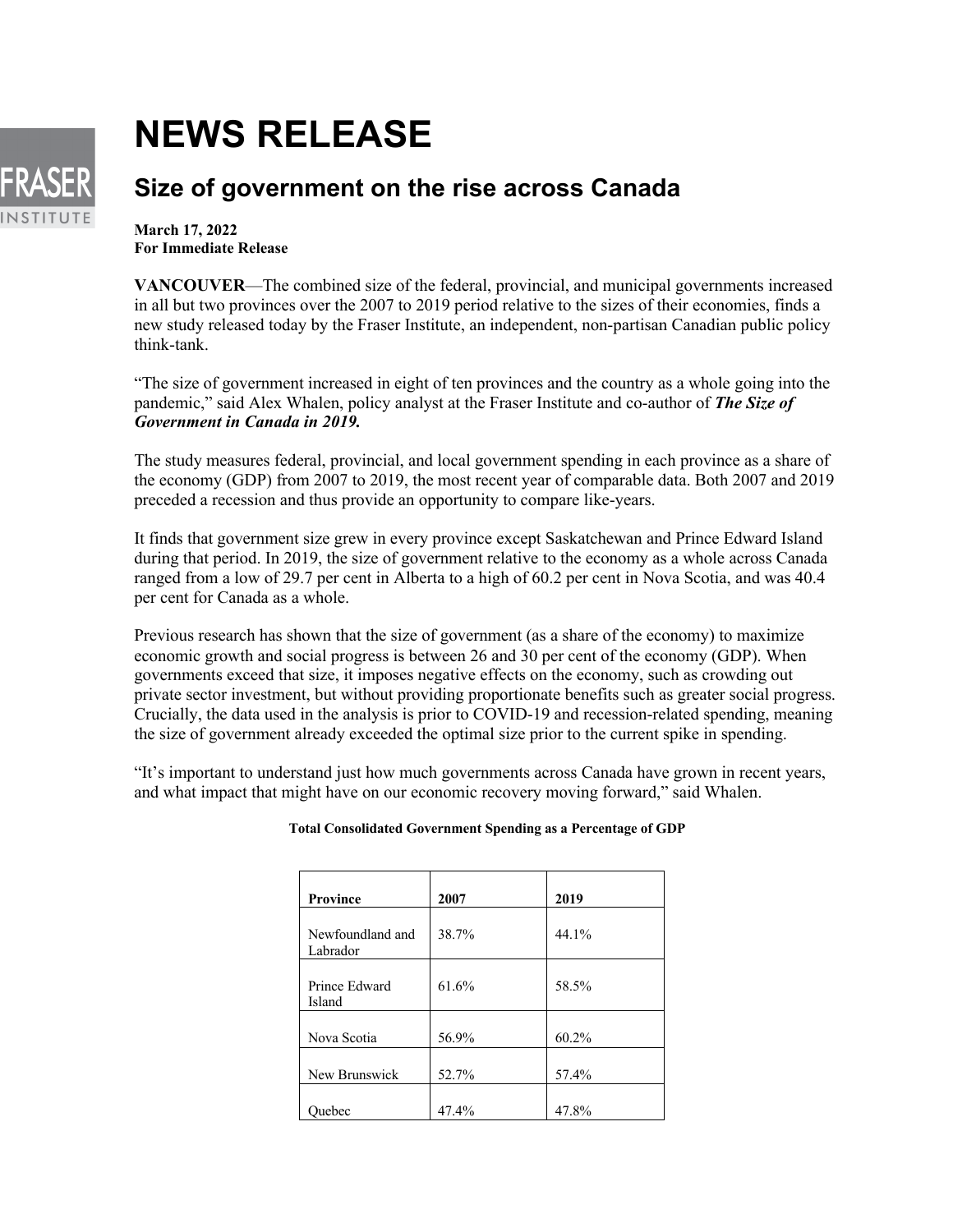## **NEWS RELEASE**



## **Size of government on the rise across Canada**

**March 17, 2022 For Immediate Release**

**VANCOUVER**—The combined size of the federal, provincial, and municipal governments increased in all but two provinces over the 2007 to 2019 period relative to the sizes of their economies, finds a new study released today by the Fraser Institute, an independent, non-partisan Canadian public policy think-tank.

"The size of government increased in eight of ten provinces and the country as a whole going into the pandemic," said Alex Whalen, policy analyst at the Fraser Institute and co-author of *The Size of Government in Canada in 2019.*

The study measures federal, provincial, and local government spending in each province as a share of the economy (GDP) from 2007 to 2019, the most recent year of comparable data. Both 2007 and 2019 preceded a recession and thus provide an opportunity to compare like-years.

It finds that government size grew in every province except Saskatchewan and Prince Edward Island during that period. In 2019, the size of government relative to the economy as a whole across Canada ranged from a low of 29.7 per cent in Alberta to a high of 60.2 per cent in Nova Scotia, and was 40.4 per cent for Canada as a whole.

Previous research has shown that the size of government (as a share of the economy) to maximize economic growth and social progress is between 26 and 30 per cent of the economy (GDP). When governments exceed that size, it imposes negative effects on the economy, such as crowding out private sector investment, but without providing proportionate benefits such as greater social progress. Crucially, the data used in the analysis is prior to COVID-19 and recession-related spending, meaning the size of government already exceeded the optimal size prior to the current spike in spending.

"It's important to understand just how much governments across Canada have grown in recent years, and what impact that might have on our economic recovery moving forward," said Whalen.

| <b>Province</b>              | 2007  | 2019  |
|------------------------------|-------|-------|
| Newfoundland and<br>Labrador | 38.7% | 44.1% |
| Prince Edward<br>Island      | 61.6% | 58.5% |
| Nova Scotia                  | 56.9% | 60.2% |
| New Brunswick                | 52.7% | 57.4% |
| Ouebec                       | 47.4% | 47.8% |

## **Total Consolidated Government Spending as a Percentage of GDP**